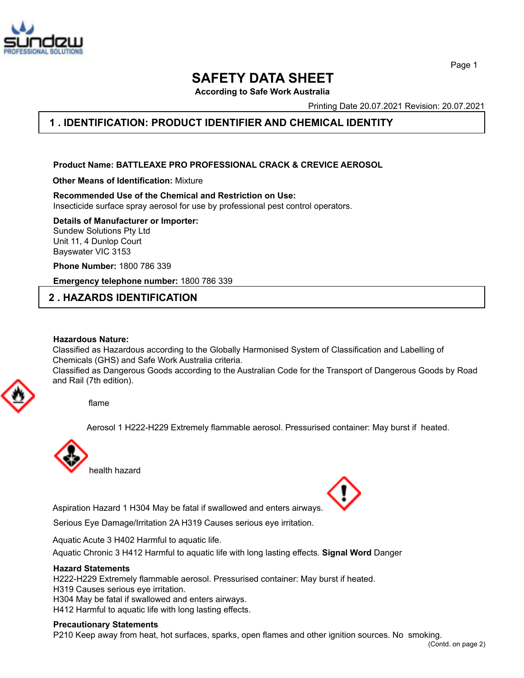

**SAFETY DATA SHEET**

**According to Safe Work Australia**

Printing Date 20.07.2021 Revision: 20.07.2021

## **1 . IDENTIFICATION: PRODUCT IDENTIFIER AND CHEMICAL IDENTITY**

**Product Name: BATTLEAXE PRO PROFESSIONAL CRACK & CREVICE AEROSOL**

**Other Means of Identification:** Mixture

**Recommended Use of the Chemical and Restriction on Use:** Insecticide surface spray aerosol for use by professional pest control operators.

**Details of Manufacturer or Importer:**

Sundew Solutions Pty Ltd Unit 11, 4 Dunlop Court Bayswater VIC 3153

**Phone Number:** 1800 786 339

**Emergency telephone number:** 1800 786 339

## **2 . HAZARDS IDENTIFICATION**

#### **Hazardous Nature:**

Classified as Hazardous according to the Globally Harmonised System of Classification and Labelling of Chemicals (GHS) and Safe Work Australia criteria.

Classified as Dangerous Goods according to the Australian Code for the Transport of Dangerous Goods by Road and Rail (7th edition).



Aerosol 1 H222-H229 Extremely flammable aerosol. Pressurised container: May burst if heated.



Aspiration Hazard 1 H304 May be fatal if swallowed and enters airways.

Serious Eye Damage/Irritation 2A H319 Causes serious eye irritation.

Aquatic Acute 3 H402 Harmful to aquatic life.

Aquatic Chronic 3 H412 Harmful to aquatic life with long lasting effects. **Signal Word** Danger

## **Hazard Statements**

H222-H229 Extremely flammable aerosol. Pressurised container: May burst if heated.

H319 Causes serious eye irritation.

H304 May be fatal if swallowed and enters airways.

H412 Harmful to aquatic life with long lasting effects.

## **Precautionary Statements**

P210 Keep away from heat, hot surfaces, sparks, open flames and other ignition sources. No smoking.

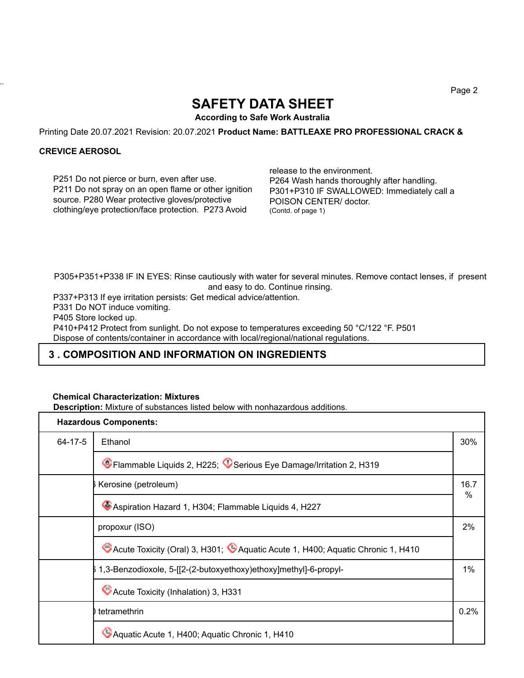# **SAFETY DATA SHEET**

**According to Safe Work Australia**

Printing Date 20.07.2021 Revision: 20.07.2021 **Product Name: BATTLEAXE PRO PROFESSIONAL CRACK &**

## **CREVICE AEROSOL**

43.0

P251 Do not pierce or burn, even after use. P211 Do not spray on an open flame or other ignition source. P280 Wear protective gloves/protective clothing/eye protection/face protection. P273 Avoid

release to the environment. P264 Wash hands thoroughly after handling. P301+P310 IF SWALLOWED: Immediately call a POISON CENTER/ doctor. (Contd. of page 1)

P305+P351+P338 IF IN EYES: Rinse cautiously with water for several minutes. Remove contact lenses, if present and easy to do. Continue rinsing.

P337+P313 If eye irritation persists: Get medical advice/attention.

P331 Do NOT induce vomiting.

P405 Store locked up.

P410+P412 Protect from sunlight. Do not expose to temperatures exceeding 50 °C/122 °F. P501 Dispose of contents/container in accordance with local/regional/national regulations.

## **3 . COMPOSITION AND INFORMATION ON INGREDIENTS**

## **Chemical Characterization: Mixtures**

**Description:** Mixture of substances listed below with nonhazardous additions.

| <b>Hazardous Components:</b> |                                                                                 |           |
|------------------------------|---------------------------------------------------------------------------------|-----------|
| $64 - 17 - 5$                | Ethanol                                                                         | 30%       |
|                              | CFlammable Liquids 2, H225; CSerious Eye Damage/Irritation 2, H319              |           |
|                              | Kerosine (petroleum)                                                            | 16.7<br>% |
|                              | Aspiration Hazard 1, H304; Flammable Liquids 4, H227                            |           |
|                              | propoxur (ISO)                                                                  | 2%        |
|                              | CAcute Toxicity (Oral) 3, H301; CAquatic Acute 1, H400; Aquatic Chronic 1, H410 |           |
|                              | 1,3-Benzodioxole, 5-[[2-(2-butoxyethoxy)ethoxy]methyl]-6-propyl-                | $1\%$     |
|                              | CAcute Toxicity (Inhalation) 3, H331                                            |           |
|                              | tetramethrin                                                                    | 0.2%      |
|                              | CAquatic Acute 1, H400; Aquatic Chronic 1, H410                                 |           |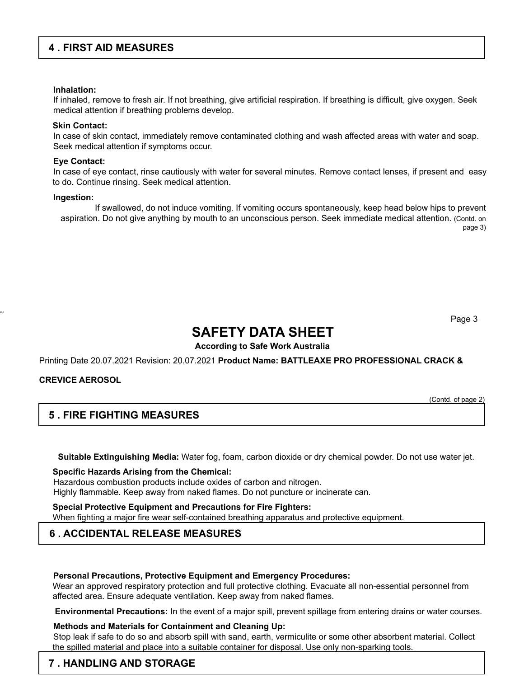## **4 . FIRST AID MEASURES**

#### **Inhalation:**

If inhaled, remove to fresh air. If not breathing, give artificial respiration. If breathing is difficult, give oxygen. Seek medical attention if breathing problems develop.

#### **Skin Contact:**

In case of skin contact, immediately remove contaminated clothing and wash affected areas with water and soap. Seek medical attention if symptoms occur.

#### **Eye Contact:**

In case of eye contact, rinse cautiously with water for several minutes. Remove contact lenses, if present and easy to do. Continue rinsing. Seek medical attention.

#### **Ingestion:**

If swallowed, do not induce vomiting. If vomiting occurs spontaneously, keep head below hips to prevent aspiration. Do not give anything by mouth to an unconscious person. Seek immediate medical attention. (Contd. on page 3)

Page 3

## **SAFETY DATA SHEET**

## **According to Safe Work Australia**

Printing Date 20.07.2021 Revision: 20.07.2021 **Product Name: BATTLEAXE PRO PROFESSIONAL CRACK &**

## **CREVICE AEROSOL**

43.0

(Contd. of page 2)

## **5 . FIRE FIGHTING MEASURES**

**Suitable Extinguishing Media:** Water fog, foam, carbon dioxide or dry chemical powder. Do not use water jet.

**Specific Hazards Arising from the Chemical:** Hazardous combustion products include oxides of carbon and nitrogen. Highly flammable. Keep away from naked flames. Do not puncture or incinerate can.

**Special Protective Equipment and Precautions for Fire Fighters:** When fighting a major fire wear self-contained breathing apparatus and protective equipment.

## **6 . ACCIDENTAL RELEASE MEASURES**

## **Personal Precautions, Protective Equipment and Emergency Procedures:**

Wear an approved respiratory protection and full protective clothing. Evacuate all non-essential personnel from affected area. Ensure adequate ventilation. Keep away from naked flames.

**Environmental Precautions:** In the event of a major spill, prevent spillage from entering drains or water courses.

## **Methods and Materials for Containment and Cleaning Up:**

Stop leak if safe to do so and absorb spill with sand, earth, vermiculite or some other absorbent material. Collect the spilled material and place into a suitable container for disposal. Use only non-sparking tools.

## **7 . HANDLING AND STORAGE**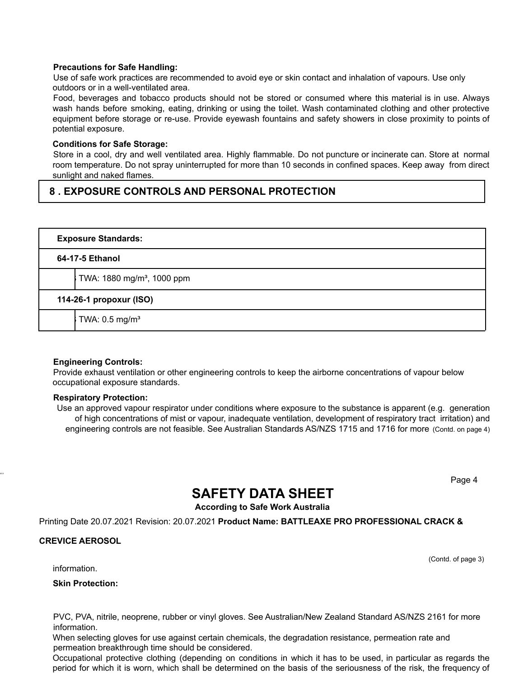## **Precautions for Safe Handling:**

Use of safe work practices are recommended to avoid eye or skin contact and inhalation of vapours. Use only outdoors or in a well-ventilated area.

Food, beverages and tobacco products should not be stored or consumed where this material is in use. Always wash hands before smoking, eating, drinking or using the toilet. Wash contaminated clothing and other protective equipment before storage or re-use. Provide eyewash fountains and safety showers in close proximity to points of potential exposure.

## **Conditions for Safe Storage:**

Store in a cool, dry and well ventilated area. Highly flammable. Do not puncture or incinerate can. Store at normal room temperature. Do not spray uninterrupted for more than 10 seconds in confined spaces. Keep away from direct sunlight and naked flames.

## **8 . EXPOSURE CONTROLS AND PERSONAL PROTECTION**

|                 | <b>Exposure Standards:</b>             |  |  |
|-----------------|----------------------------------------|--|--|
| 64-17-5 Ethanol |                                        |  |  |
|                 | TWA: 1880 mg/m <sup>3</sup> , 1000 ppm |  |  |
|                 | 114-26-1 propoxur (ISO)                |  |  |
|                 | TWA: 0.5 mg/m <sup>3</sup>             |  |  |

## **Engineering Controls:**

Provide exhaust ventilation or other engineering controls to keep the airborne concentrations of vapour below occupational exposure standards.

## **Respiratory Protection:**

Use an approved vapour respirator under conditions where exposure to the substance is apparent (e.g. generation of high concentrations of mist or vapour, inadequate ventilation, development of respiratory tract irritation) and engineering controls are not feasible. See Australian Standards AS/NZS 1715 and 1716 for more (Contd. on page 4)

Page 4

## **SAFETY DATA SHEET**

## **According to Safe Work Australia**

Printing Date 20.07.2021 Revision: 20.07.2021 **Product Name: BATTLEAXE PRO PROFESSIONAL CRACK &**

## **CREVICE AEROSOL**

43.0

(Contd. of page 3)

information.

**Skin Protection:**

PVC, PVA, nitrile, neoprene, rubber or vinyl gloves. See Australian/New Zealand Standard AS/NZS 2161 for more information.

When selecting gloves for use against certain chemicals, the degradation resistance, permeation rate and permeation breakthrough time should be considered.

Occupational protective clothing (depending on conditions in which it has to be used, in particular as regards the period for which it is worn, which shall be determined on the basis of the seriousness of the risk, the frequency of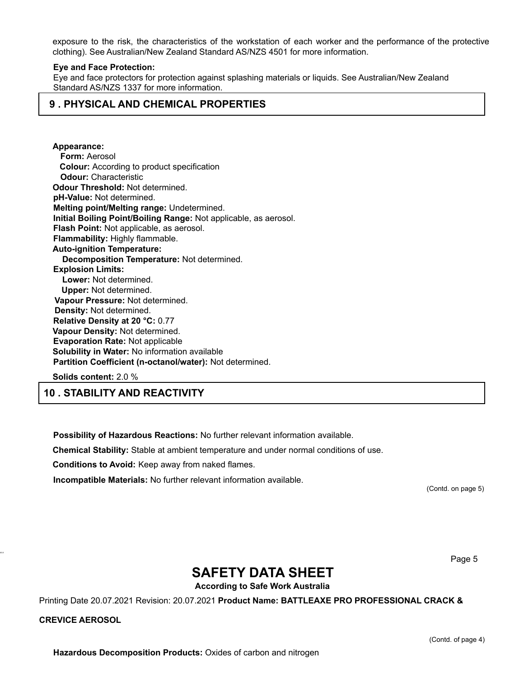exposure to the risk, the characteristics of the workstation of each worker and the performance of the protective clothing). See Australian/New Zealand Standard AS/NZS 4501 for more information.

#### **Eye and Face Protection:**

Eye and face protectors for protection against splashing materials or liquids. See Australian/New Zealand Standard AS/NZS 1337 for more information.

## **9 . PHYSICAL AND CHEMICAL PROPERTIES**

**Appearance: Form:** Aerosol **Colour:** According to product specification **Odour:** Characteristic **Odour Threshold:** Not determined. **pH-Value:** Not determined. **Melting point/Melting range:** Undetermined. **Initial Boiling Point/Boiling Range:** Not applicable, as aerosol. **Flash Point:** Not applicable, as aerosol. **Flammability:** Highly flammable. **Auto-ignition Temperature: Decomposition Temperature:** Not determined. **Explosion Limits: Lower:** Not determined. **Upper:** Not determined. **Vapour Pressure:** Not determined. **Density:** Not determined. **Relative Density at 20 °C:** 0.77 **Vapour Density:** Not determined. **Evaporation Rate:** Not applicable **Solubility in Water:** No information available **Partition Coefficient (n-octanol/water):** Not determined.

**Solids content:** 2.0 %

**10 . STABILITY AND REACTIVITY**

**Possibility of Hazardous Reactions:** No further relevant information available.

**Chemical Stability:** Stable at ambient temperature and under normal conditions of use.

**Conditions to Avoid:** Keep away from naked flames.

**Incompatible Materials:** No further relevant information available.

(Contd. on page 5)

Page 5

## **SAFETY DATA SHEET**

**According to Safe Work Australia**

Printing Date 20.07.2021 Revision: 20.07.2021 **Product Name: BATTLEAXE PRO PROFESSIONAL CRACK &**

#### **CREVICE AEROSOL**

43.0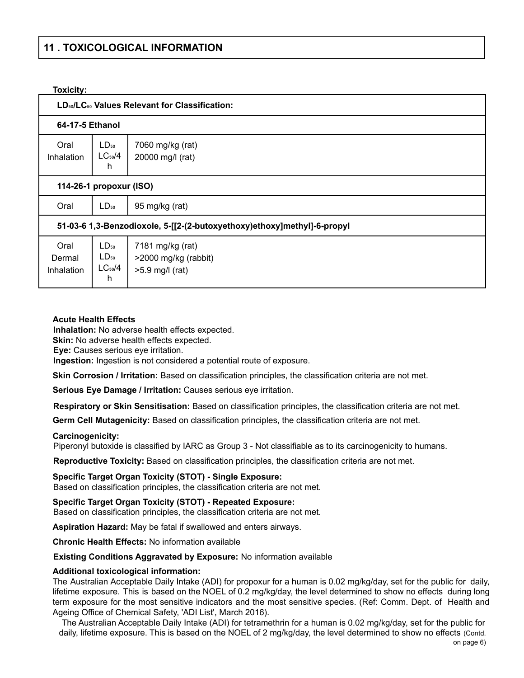## **11 . TOXICOLOGICAL INFORMATION**

## **Toxicity:**

| LD <sub>50</sub> /LC <sub>50</sub> Values Relevant for Classification:  |                                            |                                                             |  |  |  |  |
|-------------------------------------------------------------------------|--------------------------------------------|-------------------------------------------------------------|--|--|--|--|
| 64-17-5 Ethanol                                                         |                                            |                                                             |  |  |  |  |
| Oral<br>Inhalation                                                      | $LD_{50}$<br>$LC_{50}/4$<br>h              | 7060 mg/kg (rat)<br>20000 mg/l (rat)                        |  |  |  |  |
| 114-26-1 propoxur (ISO)                                                 |                                            |                                                             |  |  |  |  |
| Oral                                                                    | $LD_{50}$                                  | 95 mg/kg (rat)                                              |  |  |  |  |
| 51-03-6 1,3-Benzodioxole, 5-[[2-(2-butoxyethoxy)ethoxy]methyl]-6-propyl |                                            |                                                             |  |  |  |  |
| Oral<br>Dermal<br>Inhalation                                            | $LD_{50}$<br>$LD_{50}$<br>$LC_{50}/4$<br>h | 7181 mg/kg (rat)<br>>2000 mg/kg (rabbit)<br>>5.9 mg/l (rat) |  |  |  |  |

#### **Acute Health Effects**

**Inhalation:** No adverse health effects expected.

**Skin:** No adverse health effects expected.

**Eye:** Causes serious eye irritation.

**Ingestion:** Ingestion is not considered a potential route of exposure.

**Skin Corrosion / Irritation:** Based on classification principles, the classification criteria are not met.

**Serious Eye Damage / Irritation:** Causes serious eye irritation.

**Respiratory or Skin Sensitisation:** Based on classification principles, the classification criteria are not met.

**Germ Cell Mutagenicity:** Based on classification principles, the classification criteria are not met.

## **Carcinogenicity:**

Piperonyl butoxide is classified by IARC as Group 3 - Not classifiable as to its carcinogenicity to humans.

**Reproductive Toxicity:** Based on classification principles, the classification criteria are not met.

**Specific Target Organ Toxicity (STOT) - Single Exposure:** Based on classification principles, the classification criteria are not met.

**Specific Target Organ Toxicity (STOT) - Repeated Exposure:** Based on classification principles, the classification criteria are not met.

**Aspiration Hazard:** May be fatal if swallowed and enters airways.

**Chronic Health Effects:** No information available

## **Existing Conditions Aggravated by Exposure:** No information available

## **Additional toxicological information:**

The Australian Acceptable Daily Intake (ADI) for propoxur for a human is 0.02 mg/kg/day, set for the public for daily, lifetime exposure. This is based on the NOEL of 0.2 mg/kg/day, the level determined to show no effects during long term exposure for the most sensitive indicators and the most sensitive species. (Ref: Comm. Dept. of Health and Ageing Office of Chemical Safety, 'ADI List', March 2016).

The Australian Acceptable Daily Intake (ADI) for tetramethrin for a human is 0.02 mg/kg/day, set for the public for daily, lifetime exposure. This is based on the NOEL of 2 mg/kg/day, the level determined to show no effects (Contd.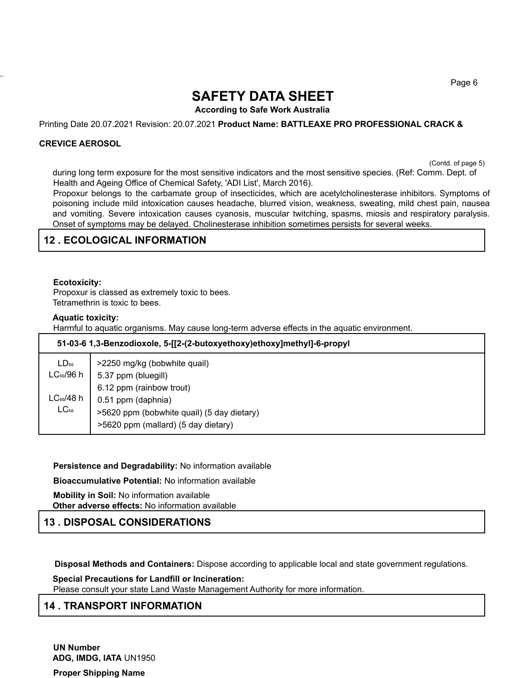Page 6

# **SAFETY DATA SHEET**

**According to Safe Work Australia**

Printing Date 20.07.2021 Revision: 20.07.2021 **Product Name: BATTLEAXE PRO PROFESSIONAL CRACK &**

## **CREVICE AEROSOL**

43.0

(Contd. of page 5)

during long term exposure for the most sensitive indicators and the most sensitive species. (Ref: Comm. Dept. of Health and Ageing Office of Chemical Safety, 'ADI List', March 2016).

Propoxur belongs to the carbamate group of insecticides, which are acetylcholinesterase inhibitors. Symptoms of poisoning include mild intoxication causes headache, blurred vision, weakness, sweating, mild chest pain, nausea and vomiting. Severe intoxication causes cyanosis, muscular twitching, spasms, miosis and respiratory paralysis. Onset of symptoms may be delayed. Cholinesterase inhibition sometimes persists for several weeks.

## **12 . ECOLOGICAL INFORMATION**

#### **Ecotoxicity:**

Propoxur is classed as extremely toxic to bees. Tetramethrin is toxic to bees.

#### **Aquatic toxicity:**

Harmful to aquatic organisms. May cause long-term adverse effects in the aquatic environment.

| 51-03-6 1,3-Benzodioxole, 5-[[2-(2-butoxyethoxy)ethoxy]methyl]-6-propyl |                                            |  |  |  |
|-------------------------------------------------------------------------|--------------------------------------------|--|--|--|
| $LD_{50}$                                                               | >2250 mg/kg (bobwhite quail)               |  |  |  |
| $LC_{50}/96$ h                                                          | 5.37 ppm (bluegill)                        |  |  |  |
|                                                                         | 6.12 ppm (rainbow trout)                   |  |  |  |
| LC <sub>50</sub> /48 h                                                  | 0.51 ppm (daphnia)                         |  |  |  |
| $LC_{50}$                                                               | >5620 ppm (bobwhite quail) (5 day dietary) |  |  |  |
|                                                                         | >5620 ppm (mallard) (5 day dietary)        |  |  |  |

#### **Persistence and Degradability:** No information available

**Bioaccumulative Potential:** No information available

**Mobility in Soil:** No information available **Other adverse effects:** No information available

## **13 . DISPOSAL CONSIDERATIONS**

**Disposal Methods and Containers:** Dispose according to applicable local and state government regulations.

**Special Precautions for Landfill or Incineration:** Please consult your state Land Waste Management Authority for more information.

## **14 . TRANSPORT INFORMATION**

**UN Number ADG, IMDG, IATA** UN1950

**Proper Shipping Name**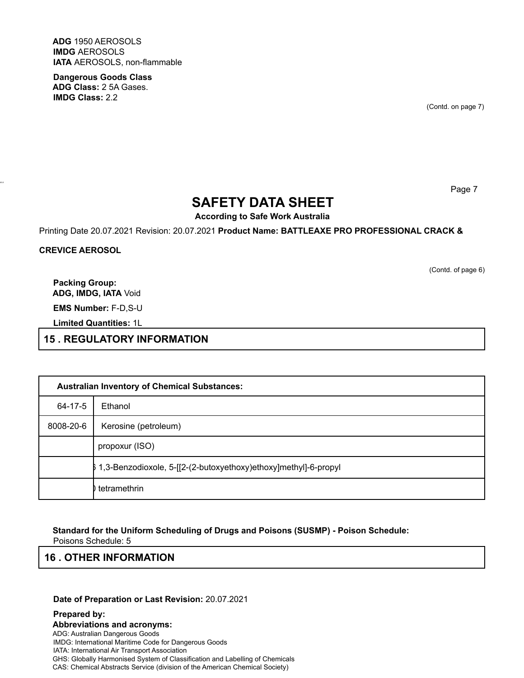**ADG** 1950 AEROSOLS **IMDG** AEROSOLS **IATA** AEROSOLS, non-flammable

**Dangerous Goods Class ADG Class:** 2 5A Gases. **IMDG Class:** 2.2

(Contd. on page 7)

Page 7

# **SAFETY DATA SHEET**

**According to Safe Work Australia**

Printing Date 20.07.2021 Revision: 20.07.2021 **Product Name: BATTLEAXE PRO PROFESSIONAL CRACK &**

**CREVICE AEROSOL**

43.0

(Contd. of page 6)

**Packing Group: ADG, IMDG, IATA** Void

**EMS Number:** F-D,S-U

**Limited Quantities:** 1L

**15 . REGULATORY INFORMATION**

| <b>Australian Inventory of Chemical Substances:</b> |                                                                   |  |  |
|-----------------------------------------------------|-------------------------------------------------------------------|--|--|
| 64-17-5                                             | Ethanol                                                           |  |  |
| 8008-20-6                                           | Kerosine (petroleum)                                              |  |  |
|                                                     | propoxur (ISO)                                                    |  |  |
|                                                     | \$1,3-Benzodioxole, 5-[[2-(2-butoxyethoxy)ethoxy]methyl]-6-propyl |  |  |
|                                                     | tetramethrin                                                      |  |  |

**Standard for the Uniform Scheduling of Drugs and Poisons (SUSMP) - Poison Schedule:**

Poisons Schedule: 5

## **16 . OTHER INFORMATION**

**Date of Preparation or Last Revision:** 20.07.2021

**Prepared by: Abbreviations and acronyms:** ADG: Australian Dangerous Goods IMDG: International Maritime Code for Dangerous Goods IATA: International Air Transport Association GHS: Globally Harmonised System of Classification and Labelling of Chemicals CAS: Chemical Abstracts Service (division of the American Chemical Society)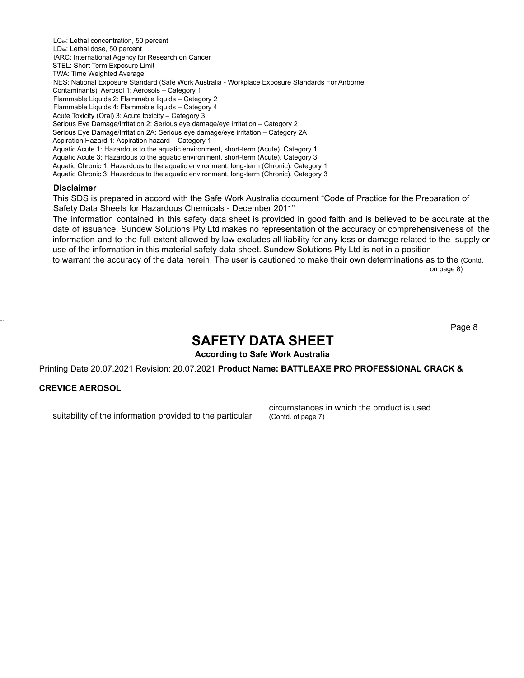LC<sub>50</sub>: Lethal concentration, 50 percent LD<sub>50</sub>: Lethal dose, 50 percent IARC: International Agency for Research on Cancer STEL: Short Term Exposure Limit TWA: Time Weighted Average NES: National Exposure Standard (Safe Work Australia - Workplace Exposure Standards For Airborne Contaminants) Aerosol 1: Aerosols – Category 1 Flammable Liquids 2: Flammable liquids – Category 2 Flammable Liquids 4: Flammable liquids – Category 4 Acute Toxicity (Oral) 3: Acute toxicity – Category 3 Serious Eye Damage/Irritation 2: Serious eye damage/eye irritation – Category 2 Serious Eye Damage/Irritation 2A: Serious eye damage/eye irritation – Category 2A Aspiration Hazard 1: Aspiration hazard – Category 1 Aquatic Acute 1: Hazardous to the aquatic environment, short-term (Acute). Category 1 Aquatic Acute 3: Hazardous to the aquatic environment, short-term (Acute). Category 3 Aquatic Chronic 1: Hazardous to the aquatic environment, long-term (Chronic). Category 1 Aquatic Chronic 3: Hazardous to the aquatic environment, long-term (Chronic). Category 3

#### **Disclaimer**

This SDS is prepared in accord with the Safe Work Australia document "Code of Practice for the Preparation of Safety Data Sheets for Hazardous Chemicals - December 2011"

The information contained in this safety data sheet is provided in good faith and is believed to be accurate at the date of issuance. Sundew Solutions Pty Ltd makes no representation of the accuracy or comprehensiveness of the information and to the full extent allowed by law excludes all liability for any loss or damage related to the supply or use of the information in this material safety data sheet. Sundew Solutions Pty Ltd is not in a position

to warrant the accuracy of the data herein. The user is cautioned to make their own determinations as to the (Contd. on page 8)

Page 8

## **SAFETY DATA SHEET**

**According to Safe Work Australia**

Printing Date 20.07.2021 Revision: 20.07.2021 **Product Name: BATTLEAXE PRO PROFESSIONAL CRACK &**

## **CREVICE AEROSOL**

43.0

suitability of the information provided to the particular

circumstances in which the product is used. (Contd. of page 7)